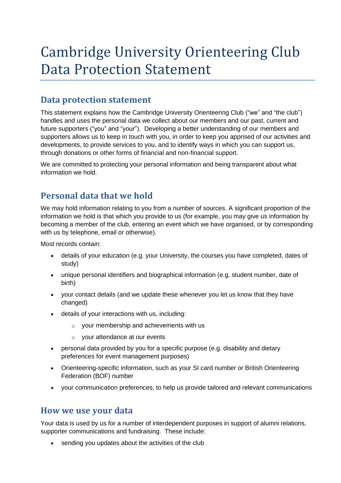# Cambridge University Orienteering Club Data Protection Statement

### **Data protection statement**

This statement explains how the Cambridge University Orienteering Club ("we" and "the club") handles and uses the personal data we collect about our members and our past, current and future supporters ("you" and "your"). Developing a better understanding of our members and supporters allows us to keep in touch with you, in order to keep you apprised of our activities and developments, to provide services to you, and to identify ways in which you can support us, through donations or other forms of financial and non-financial support.

We are committed to protecting your personal information and being transparent about what information we hold.

#### **Personal data that we hold**

We may hold information relating to you from a number of sources. A significant proportion of the information we hold is that which you provide to us (for example, you may give us information by becoming a member of the club, entering an event which we have organised, or by corresponding with us by telephone, email or otherwise).

Most records contain:

- details of your education (e.g. your University, the courses you have completed, dates of study)
- unique personal identifiers and biographical information (e.g. student number, date of birth)
- your contact details (and we update these whenever you let us know that they have changed)
- details of your interactions with us, including:
	- o your membership and achievements with us
	- o your attendance at our events
- personal data provided by you for a specific purpose (e.g. disability and dietary preferences for event management purposes)
- Orienteering-specific information, such as your SI card number or British Orienteering Federation (BOF) number
- your communication preferences, to help us provide tailored and relevant communications

#### **How we use your data**

Your data is used by us for a number of interdependent purposes in support of alumni relations, supporter communications and fundraising. These include:

• sending you updates about the activities of the club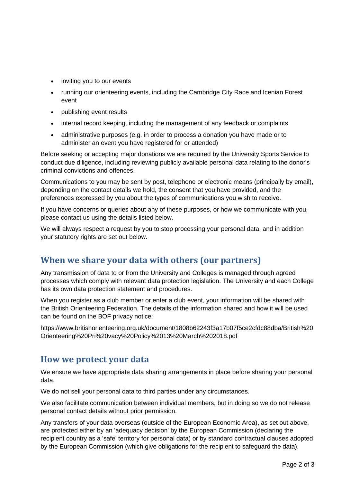- inviting you to our events
- running our orienteering events, including the Cambridge City Race and Icenian Forest event
- publishing event results
- internal record keeping, including the management of any feedback or complaints
- administrative purposes (e.g. in order to process a donation you have made or to administer an event you have registered for or attended)

Before seeking or accepting major donations we are required by the University Sports Service to conduct due diligence, including reviewing publicly available personal data relating to the donor's criminal convictions and offences.

Communications to you may be sent by post, telephone or electronic means (principally by email), depending on the contact details we hold, the consent that you have provided, and the preferences expressed by you about the types of communications you wish to receive.

If you have concerns or queries about any of these purposes, or how we communicate with you, please contact us using the details listed below.

We will always respect a request by you to stop processing your personal data, and in addition your statutory rights are set out below.

#### **When we share your data with others (our partners)**

Any transmission of data to or from the University and Colleges is managed through agreed processes which comply with relevant data protection legislation. The University and each College has its own data protection statement and procedures.

When you register as a club member or enter a club event, your information will be shared with the British Orienteering Federation. The details of the information shared and how it will be used can be found on the BOF privacy notice:

https://www.britishorienteering.org.uk/document/1808b62243f3a17b07f5ce2cfdc88dba/British%20 Orienteering%20Pri%20vacy%20Policy%2013%20March%202018.pdf

#### **How we protect your data**

We ensure we have appropriate data sharing arrangements in place before sharing your personal data.

We do not sell your personal data to third parties under any circumstances.

We also facilitate communication between individual members, but in doing so we do not release personal contact details without prior permission.

Any transfers of your data overseas (outside of the European Economic Area), as set out above, are protected either by an 'adequacy decision' by the European Commission (declaring the recipient country as a 'safe' territory for personal data) or by standard contractual clauses adopted by the European Commission (which give obligations for the recipient to safeguard the data).